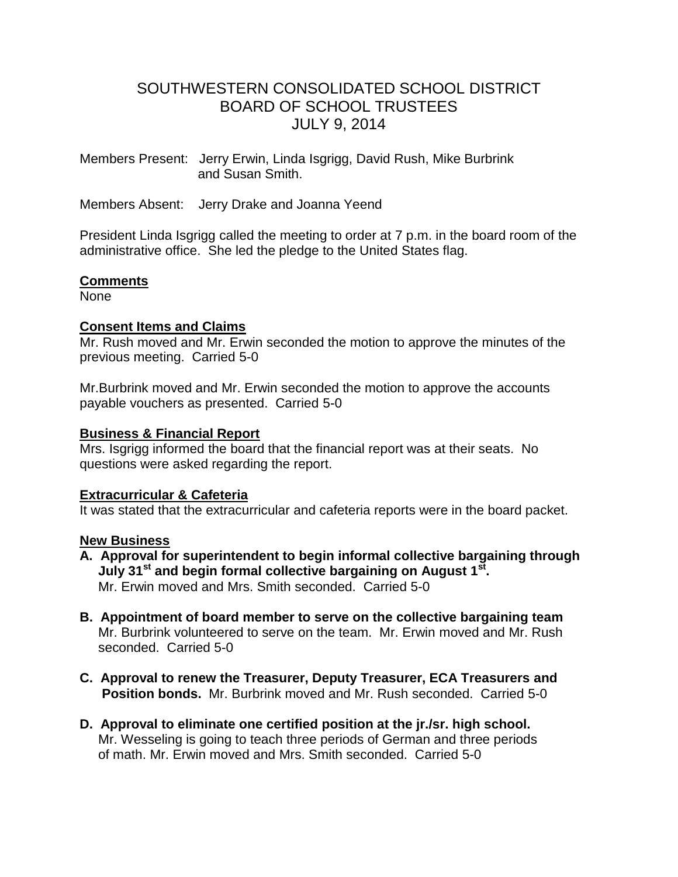# SOUTHWESTERN CONSOLIDATED SCHOOL DISTRICT BOARD OF SCHOOL TRUSTEES JULY 9, 2014

Members Present: Jerry Erwin, Linda Isgrigg, David Rush, Mike Burbrink and Susan Smith.

Members Absent: Jerry Drake and Joanna Yeend

President Linda Isgrigg called the meeting to order at 7 p.m. in the board room of the administrative office. She led the pledge to the United States flag.

## **Comments**

None

## **Consent Items and Claims**

Mr. Rush moved and Mr. Erwin seconded the motion to approve the minutes of the previous meeting. Carried 5-0

Mr.Burbrink moved and Mr. Erwin seconded the motion to approve the accounts payable vouchers as presented. Carried 5-0

## **Business & Financial Report**

Mrs. Isgrigg informed the board that the financial report was at their seats. No questions were asked regarding the report.

## **Extracurricular & Cafeteria**

It was stated that the extracurricular and cafeteria reports were in the board packet.

## **New Business**

- **A. Approval for superintendent to begin informal collective bargaining through July 31st and begin formal collective bargaining on August 1st .** Mr. Erwin moved and Mrs. Smith seconded. Carried 5-0
- **B. Appointment of board member to serve on the collective bargaining team** Mr. Burbrink volunteered to serve on the team. Mr. Erwin moved and Mr. Rush seconded. Carried 5-0
- **C. Approval to renew the Treasurer, Deputy Treasurer, ECA Treasurers and Position bonds.** Mr. Burbrink moved and Mr. Rush seconded. Carried 5-0
- **D. Approval to eliminate one certified position at the jr./sr. high school.** Mr. Wesseling is going to teach three periods of German and three periods of math. Mr. Erwin moved and Mrs. Smith seconded. Carried 5-0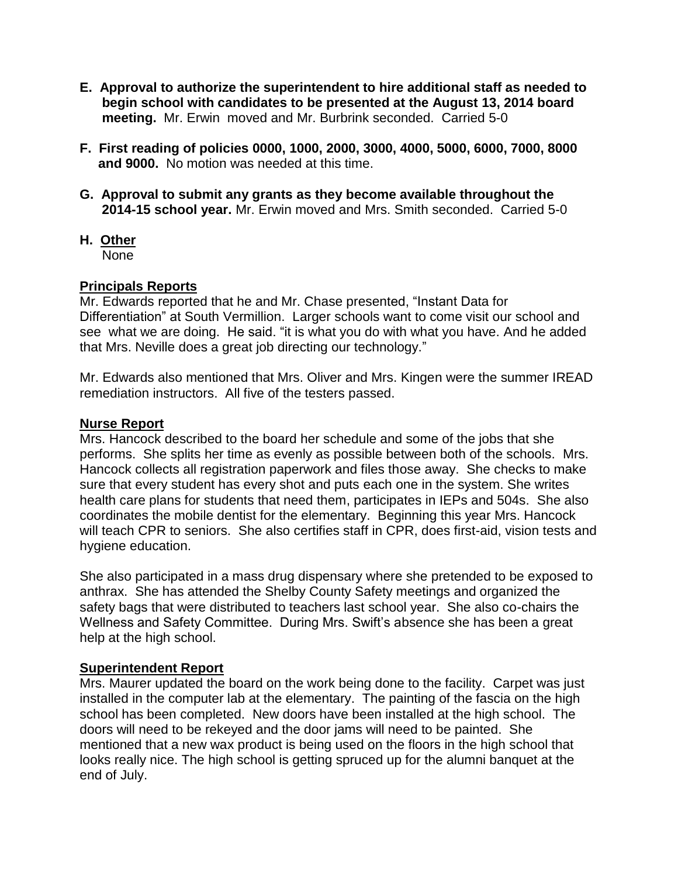- **E. Approval to authorize the superintendent to hire additional staff as needed to begin school with candidates to be presented at the August 13, 2014 board meeting.** Mr. Erwin moved and Mr. Burbrink seconded. Carried 5-0
- **F. First reading of policies 0000, 1000, 2000, 3000, 4000, 5000, 6000, 7000, 8000 and 9000.** No motion was needed at this time.
- **G. Approval to submit any grants as they become available throughout the 2014-15 school year.** Mr. Erwin moved and Mrs. Smith seconded. Carried 5-0
- **H. Other** None

## **Principals Reports**

Mr. Edwards reported that he and Mr. Chase presented, "Instant Data for Differentiation" at South Vermillion. Larger schools want to come visit our school and see what we are doing. He said. "it is what you do with what you have. And he added that Mrs. Neville does a great job directing our technology."

Mr. Edwards also mentioned that Mrs. Oliver and Mrs. Kingen were the summer IREAD remediation instructors. All five of the testers passed.

## **Nurse Report**

Mrs. Hancock described to the board her schedule and some of the jobs that she performs. She splits her time as evenly as possible between both of the schools. Mrs. Hancock collects all registration paperwork and files those away. She checks to make sure that every student has every shot and puts each one in the system. She writes health care plans for students that need them, participates in IEPs and 504s. She also coordinates the mobile dentist for the elementary. Beginning this year Mrs. Hancock will teach CPR to seniors. She also certifies staff in CPR, does first-aid, vision tests and hygiene education.

She also participated in a mass drug dispensary where she pretended to be exposed to anthrax. She has attended the Shelby County Safety meetings and organized the safety bags that were distributed to teachers last school year. She also co-chairs the Wellness and Safety Committee. During Mrs. Swift's absence she has been a great help at the high school.

## **Superintendent Report**

Mrs. Maurer updated the board on the work being done to the facility. Carpet was just installed in the computer lab at the elementary. The painting of the fascia on the high school has been completed. New doors have been installed at the high school. The doors will need to be rekeyed and the door jams will need to be painted. She mentioned that a new wax product is being used on the floors in the high school that looks really nice. The high school is getting spruced up for the alumni banquet at the end of July.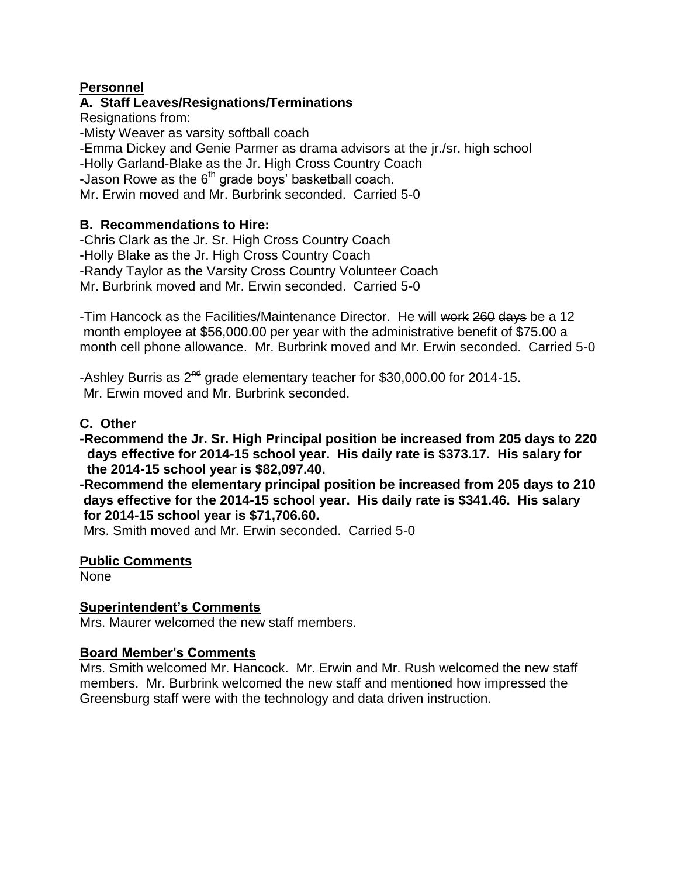## **Personnel**

## **A. Staff Leaves/Resignations/Terminations**

Resignations from:

-Misty Weaver as varsity softball coach

-Emma Dickey and Genie Parmer as drama advisors at the jr./sr. high school

-Holly Garland-Blake as the Jr. High Cross Country Coach

-Jason Rowe as the  $6<sup>th</sup>$  grade boys' basketball coach.

Mr. Erwin moved and Mr. Burbrink seconded. Carried 5-0

## **B. Recommendations to Hire:**

-Chris Clark as the Jr. Sr. High Cross Country Coach -Holly Blake as the Jr. High Cross Country Coach -Randy Taylor as the Varsity Cross Country Volunteer Coach Mr. Burbrink moved and Mr. Erwin seconded. Carried 5-0

-Tim Hancock as the Facilities/Maintenance Director. He will work 260 days be a 12 month employee at \$56,000.00 per year with the administrative benefit of \$75.00 a month cell phone allowance. Mr. Burbrink moved and Mr. Erwin seconded. Carried 5-0

-Ashley Burris as 2<sup>nd</sup>-grade elementary teacher for \$30,000.00 for 2014-15. Mr. Erwin moved and Mr. Burbrink seconded.

## **C. Other**

**-Recommend the Jr. Sr. High Principal position be increased from 205 days to 220 days effective for 2014-15 school year. His daily rate is \$373.17. His salary for the 2014-15 school year is \$82,097.40.**

**-Recommend the elementary principal position be increased from 205 days to 210 days effective for the 2014-15 school year. His daily rate is \$341.46. His salary for 2014-15 school year is \$71,706.60.** 

Mrs. Smith moved and Mr. Erwin seconded. Carried 5-0

## **Public Comments**

None

## **Superintendent's Comments**

Mrs. Maurer welcomed the new staff members.

## **Board Member's Comments**

Mrs. Smith welcomed Mr. Hancock. Mr. Erwin and Mr. Rush welcomed the new staff members. Mr. Burbrink welcomed the new staff and mentioned how impressed the Greensburg staff were with the technology and data driven instruction.